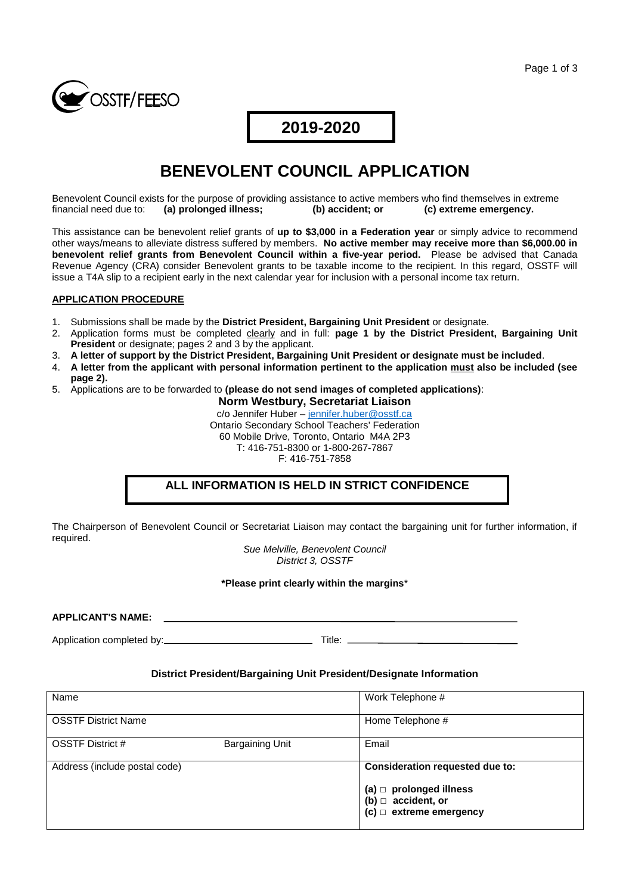

### **2019-2020**

# **BENEVOLENT COUNCIL APPLICATION**

Benevolent Council exists for the purpose of providing assistance to active members who find themselves in extreme financial need due to: (a) prolonged illness; (b) accident; or (c) extreme emergency. financial need due to: **(a) prolonged illness; (b) accident; or (c) extreme emergency.**

This assistance can be benevolent relief grants of **up to \$3,000 in a Federation year** or simply advice to recommend other ways/means to alleviate distress suffered by members. **No active member may receive more than \$6,000.00 in benevolent relief grants from Benevolent Council within a five-year period.** Please be advised that Canada Revenue Agency (CRA) consider Benevolent grants to be taxable income to the recipient. In this regard, OSSTF will issue a T4A slip to a recipient early in the next calendar year for inclusion with a personal income tax return.

#### **APPLICATION PROCEDURE**

- 1. Submissions shall be made by the **District President, Bargaining Unit President** or designate.
- 2. Application forms must be completed clearly and in full: **page 1 by the District President, Bargaining Unit President** or designate; pages 2 and 3 by the applicant.
- 3. **A letter of support by the District President, Bargaining Unit President or designate must be included**.
- 4. **A letter from the applicant with personal information pertinent to the application must also be included (see page 2).**
- 5. Applications are to be forwarded to **(please do not send images of completed applications)**:

**Norm Westbury, Secretariat Liaison** c/o Jennifer Huber – jennifer.huber@osstf.ca Ontario Secondary School Teachers' Federation 60 Mobile Drive, Toronto, Ontario M4A 2P3 T: 416-751-8300 or 1-800-267-7867 F: 416-751-7858

#### **ALL INFORMATION IS HELD IN STRICT CONFIDENCE**

The Chairperson of Benevolent Council or Secretariat Liaison may contact the bargaining unit for further information, if required.

> *Sue Melville, Benevolent Council District 3, OSSTF*

#### **\*Please print clearly within the margins**\*

**APPLICANT'S NAME:**

Application completed by: Title:

#### **District President/Bargaining Unit President/Designate Information**

| Name                          |                 | Work Telephone #                                                                          |
|-------------------------------|-----------------|-------------------------------------------------------------------------------------------|
| <b>OSSTF District Name</b>    |                 | Home Telephone #                                                                          |
| <b>OSSTF District #</b>       | Bargaining Unit | Email                                                                                     |
| Address (include postal code) |                 | Consideration requested due to:                                                           |
|                               |                 | (a) $\Box$ prolonged illness<br>(b) $\Box$ accident, or<br>$(c)$ $\Box$ extreme emergency |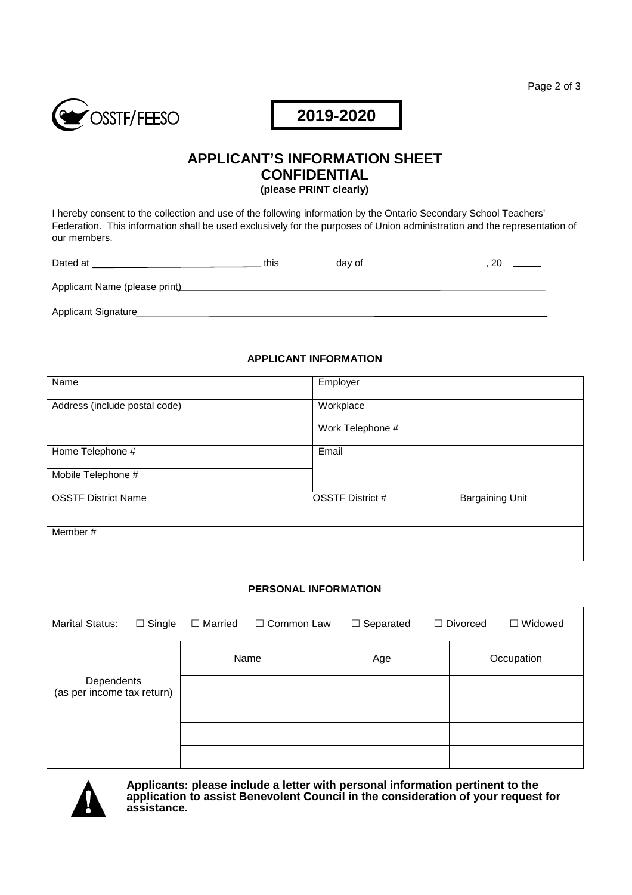

# **2019-2020**

# **APPLICANT'S INFORMATION SHEET CONFIDENTIAL**

**(please PRINT clearly)**

I hereby consent to the collection and use of the following information by the Ontario Secondary School Teachers' Federation. This information shall be used exclusively for the purposes of Union administration and the representation of our members.

| Dated at                      | this | ⊥dav of |  |
|-------------------------------|------|---------|--|
| Applicant Name (please print) |      |         |  |
| Applicant Signature           |      |         |  |

#### **APPLICANT INFORMATION**

| Name                          | Employer                                          |
|-------------------------------|---------------------------------------------------|
| Address (include postal code) | Workplace                                         |
|                               | Work Telephone #                                  |
| Home Telephone #              | Email                                             |
| Mobile Telephone #            |                                                   |
| <b>OSSTF District Name</b>    | <b>Bargaining Unit</b><br><b>OSSTF District #</b> |
| Member#                       |                                                   |

#### **PERSONAL INFORMATION**

| <b>Marital Status:</b>                   | $\Box$ Single | $\Box$ Married | $\Box$ Common Law |     | $\Box$ Separated |            | $\Box$ Divorced | $\Box$ Widowed |
|------------------------------------------|---------------|----------------|-------------------|-----|------------------|------------|-----------------|----------------|
| Dependents<br>(as per income tax return) |               | Name           |                   | Age |                  | Occupation |                 |                |
|                                          |               |                |                   |     |                  |            |                 |                |
|                                          |               |                |                   |     |                  |            |                 |                |
|                                          |               |                |                   |     |                  |            |                 |                |
|                                          |               |                |                   |     |                  |            |                 |                |



**Applicants: please include a letter with personal information pertinent to the application to assist Benevolent Council in the consideration of your request for assistance.**